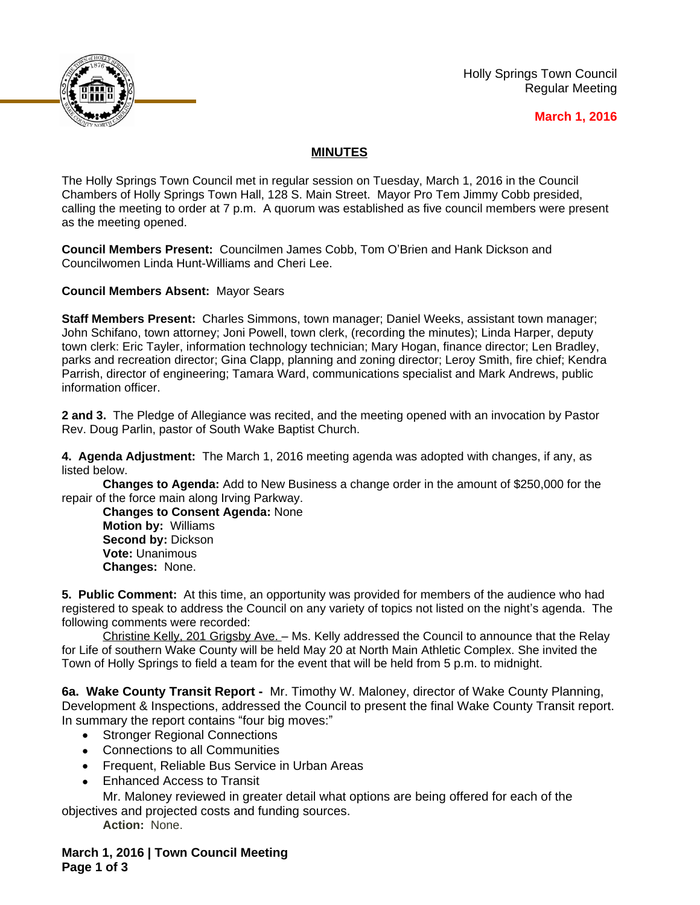

Holly Springs Town Council Regular Meeting

## **March 1, 2016**

## **MINUTES**

The Holly Springs Town Council met in regular session on Tuesday, March 1, 2016 in the Council Chambers of Holly Springs Town Hall, 128 S. Main Street. Mayor Pro Tem Jimmy Cobb presided, calling the meeting to order at 7 p.m. A quorum was established as five council members were present as the meeting opened.

**Council Members Present:** Councilmen James Cobb, Tom O'Brien and Hank Dickson and Councilwomen Linda Hunt-Williams and Cheri Lee.

**Council Members Absent:** Mayor Sears

**Staff Members Present:** Charles Simmons, town manager; Daniel Weeks, assistant town manager; John Schifano, town attorney; Joni Powell, town clerk, (recording the minutes); Linda Harper, deputy town clerk: Eric Tayler, information technology technician; Mary Hogan, finance director; Len Bradley, parks and recreation director; Gina Clapp, planning and zoning director; Leroy Smith, fire chief; Kendra Parrish, director of engineering; Tamara Ward, communications specialist and Mark Andrews, public information officer.

**2 and 3.** The Pledge of Allegiance was recited, and the meeting opened with an invocation by Pastor Rev. Doug Parlin, pastor of South Wake Baptist Church.

**4. Agenda Adjustment:** The March 1, 2016 meeting agenda was adopted with changes, if any, as listed below.

**Changes to Agenda:** Add to New Business a change order in the amount of \$250,000 for the repair of the force main along Irving Parkway.

**Changes to Consent Agenda:** None **Motion by:** Williams **Second by:** Dickson **Vote:** Unanimous **Changes:** None.

**5. Public Comment:** At this time, an opportunity was provided for members of the audience who had registered to speak to address the Council on any variety of topics not listed on the night's agenda. The following comments were recorded:

Christine Kelly, 201 Grigsby Ave. – Ms. Kelly addressed the Council to announce that the Relay for Life of southern Wake County will be held May 20 at North Main Athletic Complex. She invited the Town of Holly Springs to field a team for the event that will be held from 5 p.m. to midnight.

**6a. Wake County Transit Report -** Mr. Timothy W. Maloney, director of Wake County Planning, Development & Inspections, addressed the Council to present the final Wake County Transit report. In summary the report contains "four big moves:"

- Stronger Regional Connections
- Connections to all Communities
- Frequent, Reliable Bus Service in Urban Areas
- Enhanced Access to Transit

Mr. Maloney reviewed in greater detail what options are being offered for each of the objectives and projected costs and funding sources.

**Action:** None.

## **March 1, 2016 | Town Council Meeting Page 1 of 3**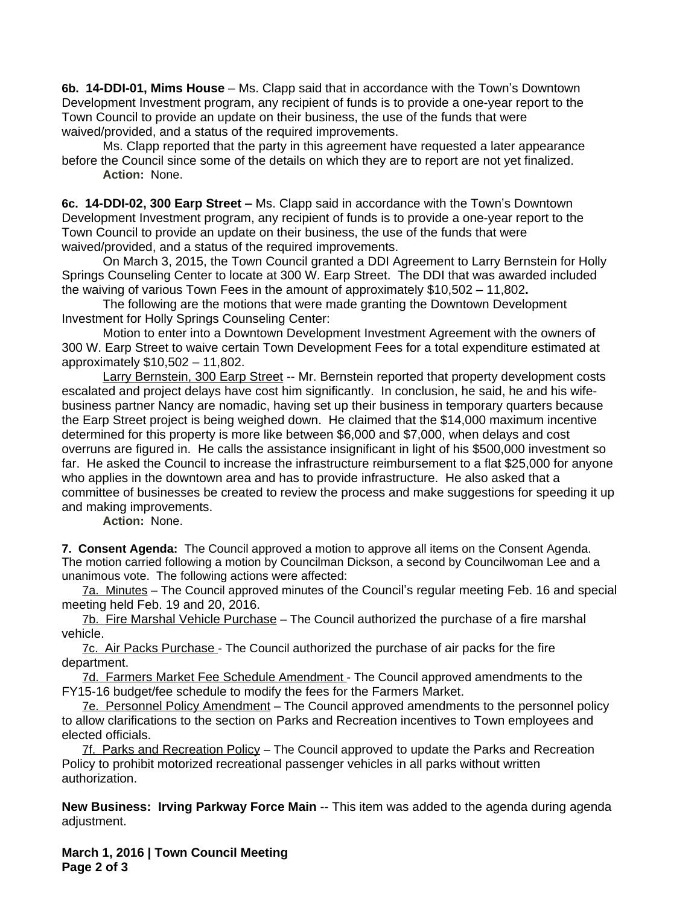**6b. 14-DDI-01, Mims House** – Ms. Clapp said that in accordance with the Town's Downtown Development Investment program, any recipient of funds is to provide a one-year report to the Town Council to provide an update on their business, the use of the funds that were waived/provided, and a status of the required improvements.

Ms. Clapp reported that the party in this agreement have requested a later appearance before the Council since some of the details on which they are to report are not yet finalized. **Action:** None.

**6c. 14-DDI-02, 300 Earp Street –** Ms. Clapp said in accordance with the Town's Downtown Development Investment program, any recipient of funds is to provide a one-year report to the Town Council to provide an update on their business, the use of the funds that were waived/provided, and a status of the required improvements.

On March 3, 2015, the Town Council granted a DDI Agreement to Larry Bernstein for Holly Springs Counseling Center to locate at 300 W. Earp Street. The DDI that was awarded included the waiving of various Town Fees in the amount of approximately \$10,502 – 11,802**.**

The following are the motions that were made granting the Downtown Development Investment for Holly Springs Counseling Center:

Motion to enter into a Downtown Development Investment Agreement with the owners of 300 W. Earp Street to waive certain Town Development Fees for a total expenditure estimated at approximately \$10,502 – 11,802.

Larry Bernstein, 300 Earp Street -- Mr. Bernstein reported that property development costs escalated and project delays have cost him significantly. In conclusion, he said, he and his wifebusiness partner Nancy are nomadic, having set up their business in temporary quarters because the Earp Street project is being weighed down. He claimed that the \$14,000 maximum incentive determined for this property is more like between \$6,000 and \$7,000, when delays and cost overruns are figured in. He calls the assistance insignificant in light of his \$500,000 investment so far. He asked the Council to increase the infrastructure reimbursement to a flat \$25,000 for anyone who applies in the downtown area and has to provide infrastructure. He also asked that a committee of businesses be created to review the process and make suggestions for speeding it up and making improvements.

**Action:** None.

**7. Consent Agenda:** The Council approved a motion to approve all items on the Consent Agenda. The motion carried following a motion by Councilman Dickson, a second by Councilwoman Lee and a unanimous vote. The following actions were affected:

7a. Minutes – The Council approved minutes of the Council's regular meeting Feb. 16 and special meeting held Feb. 19 and 20, 2016.

7b. Fire Marshal Vehicle Purchase – The Council authorized the purchase of a fire marshal vehicle.

7c. Air Packs Purchase - The Council authorized the purchase of air packs for the fire department.

7d. Farmers Market Fee Schedule Amendment - The Council approved amendments to the FY15-16 budget/fee schedule to modify the fees for the Farmers Market.

7e. Personnel Policy Amendment - The Council approved amendments to the personnel policy to allow clarifications to the section on Parks and Recreation incentives to Town employees and elected officials.

7f. Parks and Recreation Policy – The Council approved to update the Parks and Recreation Policy to prohibit motorized recreational passenger vehicles in all parks without written authorization.

**New Business: Irving Parkway Force Main** -- This item was added to the agenda during agenda adjustment.

**March 1, 2016 | Town Council Meeting Page 2 of 3**